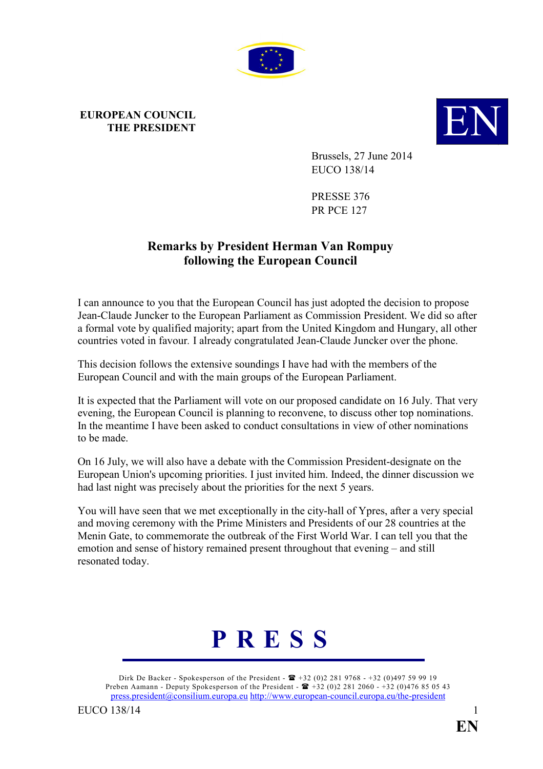

## **EUROPEAN COUNCIL**



Brussels, 27 June 2014 EUCO 138/14

PRESSE 376 PR PCE 127

## **Remarks by President Herman Van Rompuy following the European Council**

I can announce to you that the European Council has just adopted the decision to propose Jean-Claude Juncker to the European Parliament as Commission President. We did so after a formal vote by qualified majority; apart from the United Kingdom and Hungary, all other countries voted in favour*.* I already congratulated Jean-Claude Juncker over the phone.

This decision follows the extensive soundings I have had with the members of the European Council and with the main groups of the European Parliament.

It is expected that the Parliament will vote on our proposed candidate on 16 July. That very evening, the European Council is planning to reconvene, to discuss other top nominations. In the meantime I have been asked to conduct consultations in view of other nominations to be made.

On 16 July, we will also have a debate with the Commission President-designate on the European Union's upcoming priorities. I just invited him. Indeed, the dinner discussion we had last night was precisely about the priorities for the next 5 years.

You will have seen that we met exceptionally in the city-hall of Ypres, after a very special and moving ceremony with the Prime Ministers and Presidents of our 28 countries at the Menin Gate, to commemorate the outbreak of the First World War. I can tell you that the emotion and sense of history remained present throughout that evening – and still resonated today.



Dirk De Backer - Spokesperson of the President -  $\mathbf{F}$  +32 (0)2 281 9768 - +32 (0)497 59 99 19 Preben Aamann - Deputy Spokesperson of the President -  $\mathbf{\mathbb{E}}$  +32 (0)2 281 2060 - +32 (0)476 85 05 43 [press.president@consilium.europa.eu](mailto:press.president@consilium.europa.eu) <http://www.european-council.europa.eu/the-president>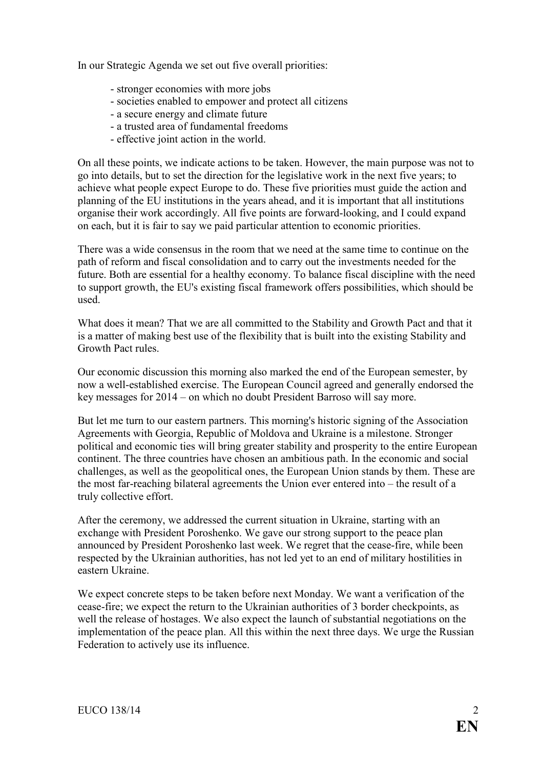In our Strategic Agenda we set out five overall priorities:

- stronger economies with more jobs
- societies enabled to empower and protect all citizens
- a secure energy and climate future
- a trusted area of fundamental freedoms
- effective joint action in the world.

On all these points, we indicate actions to be taken. However, the main purpose was not to go into details, but to set the direction for the legislative work in the next five years; to achieve what people expect Europe to do. These five priorities must guide the action and planning of the EU institutions in the years ahead, and it is important that all institutions organise their work accordingly. All five points are forward-looking, and I could expand on each, but it is fair to say we paid particular attention to economic priorities.

There was a wide consensus in the room that we need at the same time to continue on the path of reform and fiscal consolidation and to carry out the investments needed for the future. Both are essential for a healthy economy. To balance fiscal discipline with the need to support growth, the EU's existing fiscal framework offers possibilities, which should be used.

What does it mean? That we are all committed to the Stability and Growth Pact and that it is a matter of making best use of the flexibility that is built into the existing Stability and Growth Pact rules.

Our economic discussion this morning also marked the end of the European semester, by now a well-established exercise. The European Council agreed and generally endorsed the key messages for 2014 – on which no doubt President Barroso will say more.

But let me turn to our eastern partners. This morning's historic signing of the Association Agreements with Georgia, Republic of Moldova and Ukraine is a milestone. Stronger political and economic ties will bring greater stability and prosperity to the entire European continent. The three countries have chosen an ambitious path. In the economic and social challenges, as well as the geopolitical ones, the European Union stands by them. These are the most far-reaching bilateral agreements the Union ever entered into – the result of a truly collective effort.

After the ceremony, we addressed the current situation in Ukraine, starting with an exchange with President Poroshenko. We gave our strong support to the peace plan announced by President Poroshenko last week. We regret that the cease-fire, while been respected by the Ukrainian authorities, has not led yet to an end of military hostilities in eastern Ukraine.

We expect concrete steps to be taken before next Monday. We want a verification of the cease-fire; we expect the return to the Ukrainian authorities of 3 border checkpoints, as well the release of hostages. We also expect the launch of substantial negotiations on the implementation of the peace plan. All this within the next three days. We urge the Russian Federation to actively use its influence.